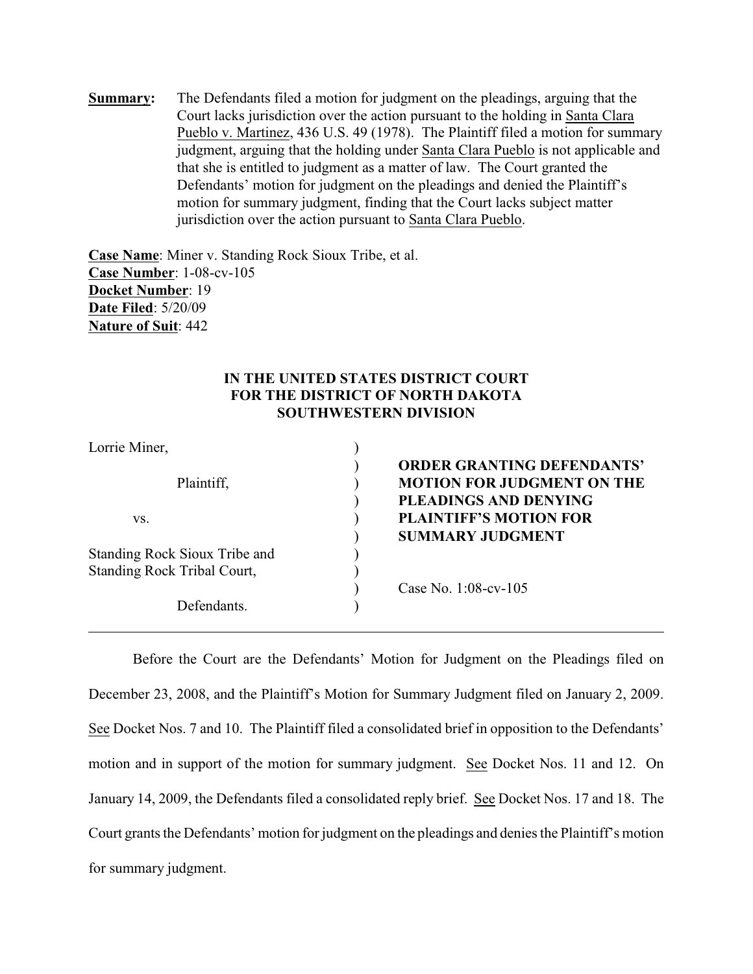**Summary:** The Defendants filed a motion for judgment on the pleadings, arguing that the Court lacks jurisdiction over the action pursuant to the holding in Santa Clara Pueblo v. Martinez, 436 U.S. 49 (1978). The Plaintiff filed a motion for summary judgment, arguing that the holding under Santa Clara Pueblo is not applicable and that she is entitled to judgment as a matter of law. The Court granted the Defendants' motion for judgment on the pleadings and denied the Plaintiff's motion for summary judgment, finding that the Court lacks subject matter jurisdiction over the action pursuant to Santa Clara Pueblo.

**Case Name**: Miner v. Standing Rock Sioux Tribe, et al. **Case Number**: 1-08-cv-105 **Docket Number**: 19 **Date Filed**: 5/20/09 **Nature of Suit**: 442

# **IN THE UNITED STATES DISTRICT COURT FOR THE DISTRICT OF NORTH DAKOTA SOUTHWESTERN DIVISION**

| Lorrie Miner,                      |                                   |
|------------------------------------|-----------------------------------|
|                                    | <b>ORDER GRANTING DEFENDANTS'</b> |
| Plaintiff,                         | <b>MOTION FOR JUDGMENT ON THE</b> |
|                                    | PLEADINGS AND DENYING             |
| VS.                                | <b>PLAINTIFF'S MOTION FOR</b>     |
|                                    | <b>SUMMARY JUDGMENT</b>           |
| Standing Rock Sioux Tribe and      |                                   |
| <b>Standing Rock Tribal Court,</b> |                                   |
|                                    | Case No. 1:08-cv-105              |
| Defendants.                        |                                   |

Before the Court are the Defendants' Motion for Judgment on the Pleadings filed on December 23, 2008, and the Plaintiff's Motion for Summary Judgment filed on January 2, 2009. See Docket Nos. 7 and 10. The Plaintiff filed a consolidated brief in opposition to the Defendants' motion and in support of the motion for summary judgment. See Docket Nos. 11 and 12. On January 14, 2009, the Defendants filed a consolidated reply brief. See Docket Nos. 17 and 18. The Court grants the Defendants' motion for judgment on the pleadings and denies the Plaintiff's motion for summary judgment.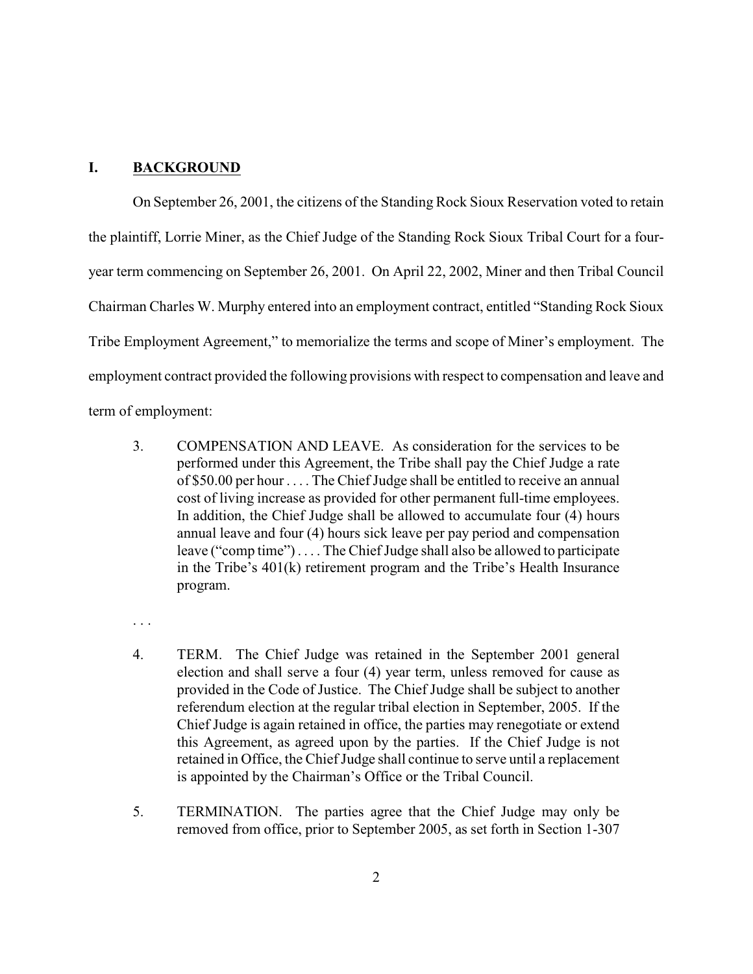### **I. BACKGROUND**

On September 26, 2001, the citizens of the Standing Rock Sioux Reservation voted to retain the plaintiff, Lorrie Miner, as the Chief Judge of the Standing Rock Sioux Tribal Court for a fouryear term commencing on September 26, 2001. On April 22, 2002, Miner and then Tribal Council Chairman Charles W. Murphy entered into an employment contract, entitled "Standing Rock Sioux Tribe Employment Agreement," to memorialize the terms and scope of Miner's employment. The employment contract provided the following provisions with respect to compensation and leave and term of employment:

- 3. COMPENSATION AND LEAVE. As consideration for the services to be performed under this Agreement, the Tribe shall pay the Chief Judge a rate of \$50.00 per hour . . . . The Chief Judge shall be entitled to receive an annual cost of living increase as provided for other permanent full-time employees. In addition, the Chief Judge shall be allowed to accumulate four (4) hours annual leave and four (4) hours sick leave per pay period and compensation leave ("comp time") . . . . The Chief Judge shall also be allowed to participate in the Tribe's 401(k) retirement program and the Tribe's Health Insurance program.
- . . .
- 4. TERM. The Chief Judge was retained in the September 2001 general election and shall serve a four (4) year term, unless removed for cause as provided in the Code of Justice. The Chief Judge shall be subject to another referendum election at the regular tribal election in September, 2005. If the Chief Judge is again retained in office, the parties may renegotiate or extend this Agreement, as agreed upon by the parties. If the Chief Judge is not retained in Office, the Chief Judge shall continue to serve until a replacement is appointed by the Chairman's Office or the Tribal Council.
- 5. TERMINATION. The parties agree that the Chief Judge may only be removed from office, prior to September 2005, as set forth in Section 1-307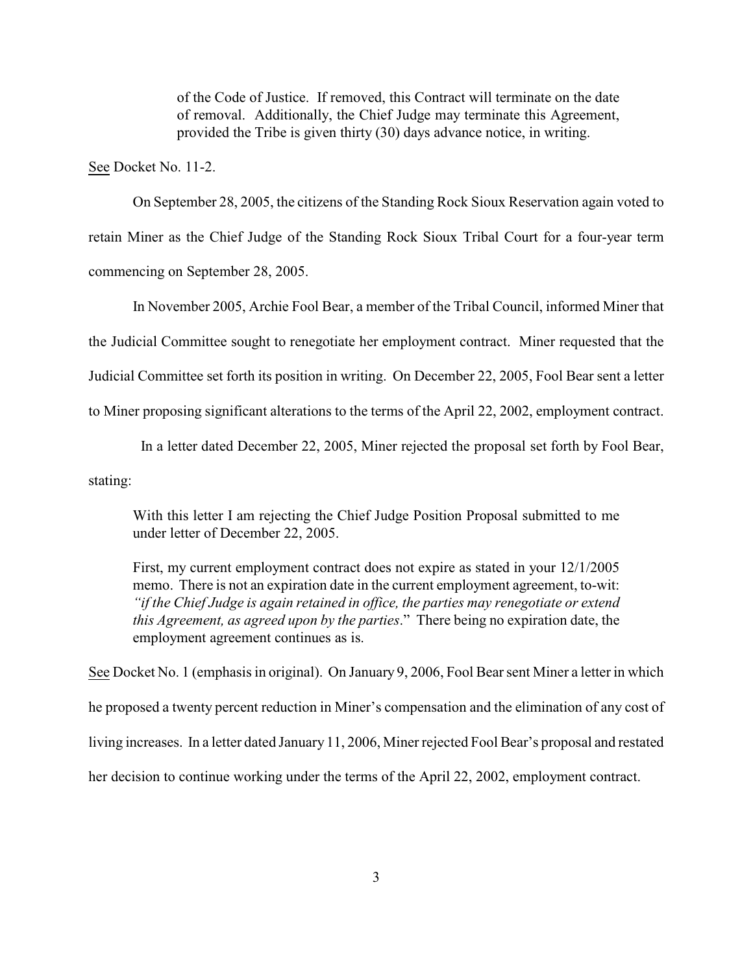of the Code of Justice. If removed, this Contract will terminate on the date of removal. Additionally, the Chief Judge may terminate this Agreement, provided the Tribe is given thirty (30) days advance notice, in writing.

See Docket No. 11-2.

On September 28, 2005, the citizens of the Standing Rock Sioux Reservation again voted to retain Miner as the Chief Judge of the Standing Rock Sioux Tribal Court for a four-year term commencing on September 28, 2005.

In November 2005, Archie Fool Bear, a member of the Tribal Council, informed Miner that the Judicial Committee sought to renegotiate her employment contract. Miner requested that the Judicial Committee set forth its position in writing. On December 22, 2005, Fool Bear sent a letter to Miner proposing significant alterations to the terms of the April 22, 2002, employment contract.

 In a letter dated December 22, 2005, Miner rejected the proposal set forth by Fool Bear, stating:

With this letter I am rejecting the Chief Judge Position Proposal submitted to me under letter of December 22, 2005.

First, my current employment contract does not expire as stated in your 12/1/2005 memo. There is not an expiration date in the current employment agreement, to-wit: *"if the Chief Judge is again retained in office, the parties may renegotiate or extend this Agreement, as agreed upon by the parties*." There being no expiration date, the employment agreement continues as is.

See Docket No. 1 (emphasis in original). On January 9, 2006, Fool Bear sent Miner a letter in which he proposed a twenty percent reduction in Miner's compensation and the elimination of any cost of living increases. In a letter dated January 11, 2006, Miner rejected Fool Bear's proposal and restated her decision to continue working under the terms of the April 22, 2002, employment contract.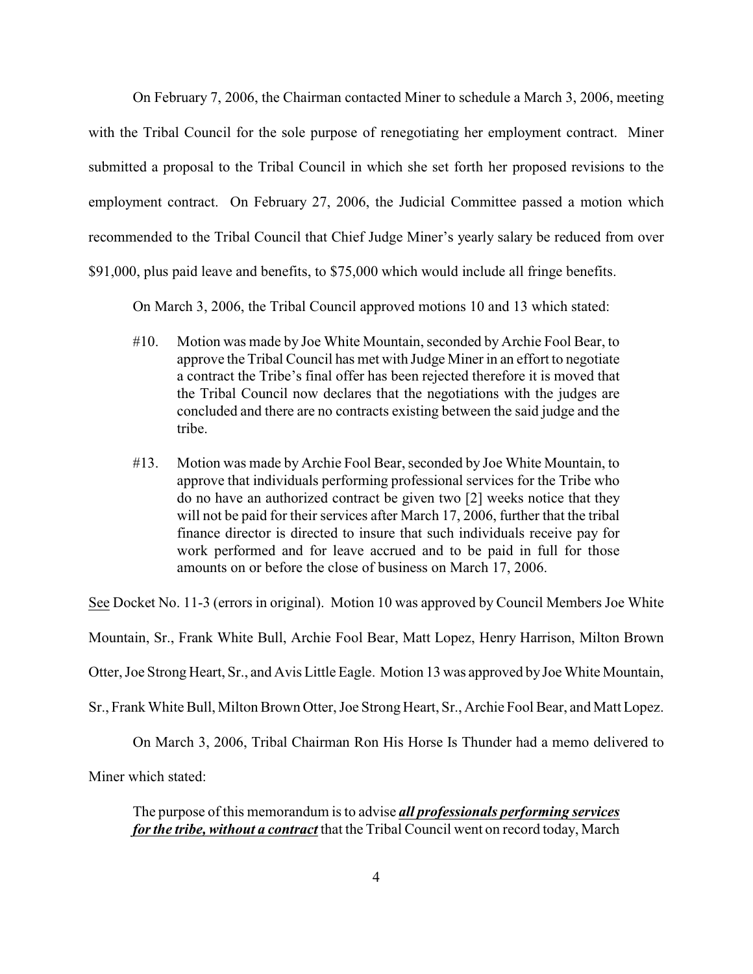On February 7, 2006, the Chairman contacted Miner to schedule a March 3, 2006, meeting with the Tribal Council for the sole purpose of renegotiating her employment contract. Miner submitted a proposal to the Tribal Council in which she set forth her proposed revisions to the employment contract. On February 27, 2006, the Judicial Committee passed a motion which recommended to the Tribal Council that Chief Judge Miner's yearly salary be reduced from over \$91,000, plus paid leave and benefits, to \$75,000 which would include all fringe benefits.

On March 3, 2006, the Tribal Council approved motions 10 and 13 which stated:

- #10. Motion was made by Joe White Mountain, seconded by Archie Fool Bear, to approve the Tribal Council has met with Judge Miner in an effort to negotiate a contract the Tribe's final offer has been rejected therefore it is moved that the Tribal Council now declares that the negotiations with the judges are concluded and there are no contracts existing between the said judge and the tribe.
- #13. Motion was made by Archie Fool Bear, seconded by Joe White Mountain, to approve that individuals performing professional services for the Tribe who do no have an authorized contract be given two [2] weeks notice that they will not be paid for their services after March 17, 2006, further that the tribal finance director is directed to insure that such individuals receive pay for work performed and for leave accrued and to be paid in full for those amounts on or before the close of business on March 17, 2006.

See Docket No. 11-3 (errors in original). Motion 10 was approved by Council Members Joe White

Mountain, Sr., Frank White Bull, Archie Fool Bear, Matt Lopez, Henry Harrison, Milton Brown

Otter, Joe Strong Heart, Sr., and Avis Little Eagle. Motion 13 was approved by Joe White Mountain,

Sr., Frank White Bull, Milton Brown Otter, Joe Strong Heart, Sr., Archie Fool Bear, and Matt Lopez.

On March 3, 2006, Tribal Chairman Ron His Horse Is Thunder had a memo delivered to

Miner which stated:

The purpose of this memorandum is to advise *all professionals performing services for the tribe, without a contract* that the Tribal Council went on record today, March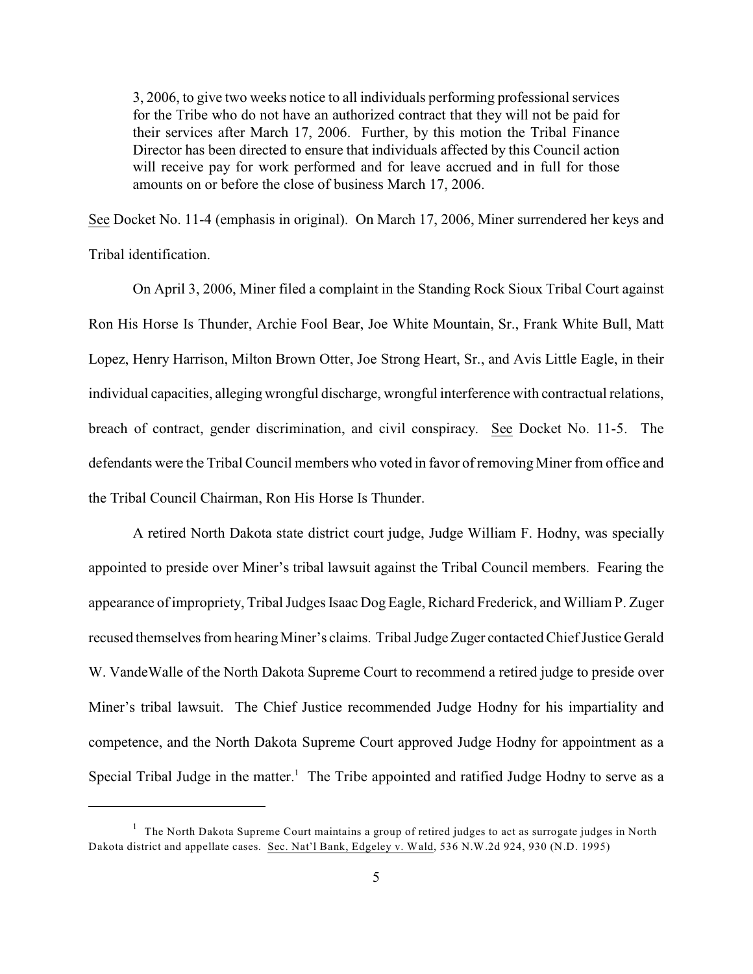3, 2006, to give two weeks notice to all individuals performing professional services for the Tribe who do not have an authorized contract that they will not be paid for their services after March 17, 2006. Further, by this motion the Tribal Finance Director has been directed to ensure that individuals affected by this Council action will receive pay for work performed and for leave accrued and in full for those amounts on or before the close of business March 17, 2006.

See Docket No. 11-4 (emphasis in original). On March 17, 2006, Miner surrendered her keys and Tribal identification.

On April 3, 2006, Miner filed a complaint in the Standing Rock Sioux Tribal Court against Ron His Horse Is Thunder, Archie Fool Bear, Joe White Mountain, Sr., Frank White Bull, Matt Lopez, Henry Harrison, Milton Brown Otter, Joe Strong Heart, Sr., and Avis Little Eagle, in their individual capacities, alleging wrongful discharge, wrongful interference with contractual relations, breach of contract, gender discrimination, and civil conspiracy. See Docket No. 11-5. The defendants were the Tribal Council members who voted in favor of removing Miner from office and the Tribal Council Chairman, Ron His Horse Is Thunder.

A retired North Dakota state district court judge, Judge William F. Hodny, was specially appointed to preside over Miner's tribal lawsuit against the Tribal Council members. Fearing the appearance of impropriety, Tribal Judges Isaac Dog Eagle, Richard Frederick, and William P. Zuger recused themselves from hearing Miner's claims. Tribal Judge Zuger contacted Chief Justice Gerald W. VandeWalle of the North Dakota Supreme Court to recommend a retired judge to preside over Miner's tribal lawsuit. The Chief Justice recommended Judge Hodny for his impartiality and competence, and the North Dakota Supreme Court approved Judge Hodny for appointment as a Special Tribal Judge in the matter.<sup>1</sup> The Tribe appointed and ratified Judge Hodny to serve as a

 $1$  The North Dakota Supreme Court maintains a group of retired judges to act as surrogate judges in North Dakota district and appellate cases. Sec. Nat'l Bank, Edgeley v. Wald, 536 N.W.2d 924, 930 (N.D. 1995)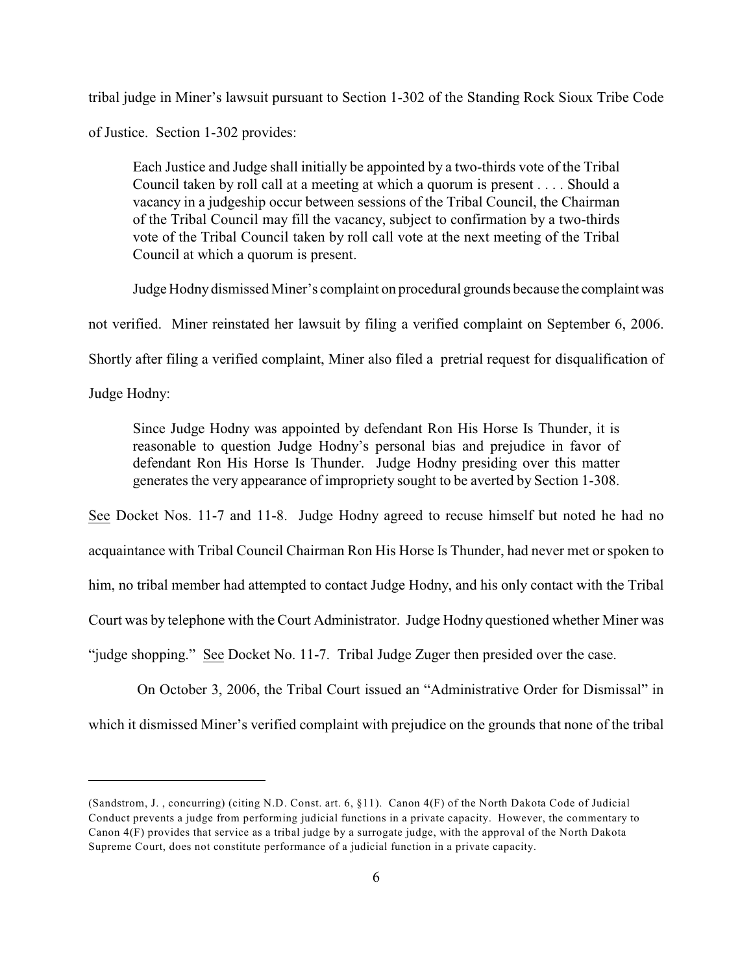tribal judge in Miner's lawsuit pursuant to Section 1-302 of the Standing Rock Sioux Tribe Code

of Justice. Section 1-302 provides:

Each Justice and Judge shall initially be appointed by a two-thirds vote of the Tribal Council taken by roll call at a meeting at which a quorum is present . . . . Should a vacancy in a judgeship occur between sessions of the Tribal Council, the Chairman of the Tribal Council may fill the vacancy, subject to confirmation by a two-thirds vote of the Tribal Council taken by roll call vote at the next meeting of the Tribal Council at which a quorum is present.

Judge Hodny dismissed Miner's complaint on procedural grounds because the complaint was not verified. Miner reinstated her lawsuit by filing a verified complaint on September 6, 2006. Shortly after filing a verified complaint, Miner also filed a pretrial request for disqualification of Judge Hodny:

Since Judge Hodny was appointed by defendant Ron His Horse Is Thunder, it is reasonable to question Judge Hodny's personal bias and prejudice in favor of defendant Ron His Horse Is Thunder. Judge Hodny presiding over this matter generates the very appearance of impropriety sought to be averted by Section 1-308.

See Docket Nos. 11-7 and 11-8. Judge Hodny agreed to recuse himself but noted he had no acquaintance with Tribal Council Chairman Ron His Horse Is Thunder, had never met or spoken to him, no tribal member had attempted to contact Judge Hodny, and his only contact with the Tribal Court was by telephone with the Court Administrator. Judge Hodny questioned whether Miner was "judge shopping." See Docket No. 11-7. Tribal Judge Zuger then presided over the case.

On October 3, 2006, the Tribal Court issued an "Administrative Order for Dismissal" in which it dismissed Miner's verified complaint with prejudice on the grounds that none of the tribal

<sup>(</sup>Sandstrom, J. , concurring) (citing N.D. Const. art. 6, §11). Canon 4(F) of the North Dakota Code of Judicial Conduct prevents a judge from performing judicial functions in a private capacity. However, the commentary to Canon 4(F) provides that service as a tribal judge by a surrogate judge, with the approval of the North Dakota Supreme Court, does not constitute performance of a judicial function in a private capacity.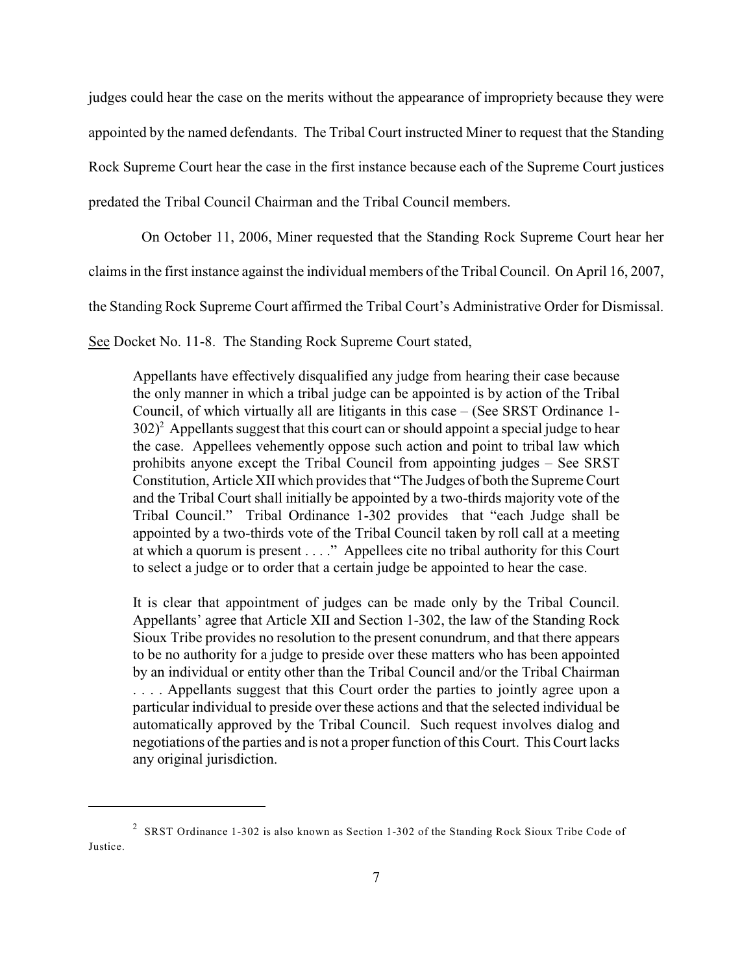judges could hear the case on the merits without the appearance of impropriety because they were appointed by the named defendants. The Tribal Court instructed Miner to request that the Standing Rock Supreme Court hear the case in the first instance because each of the Supreme Court justices predated the Tribal Council Chairman and the Tribal Council members.

On October 11, 2006, Miner requested that the Standing Rock Supreme Court hear her

claims in the first instance against the individual members of the Tribal Council. On April 16, 2007,

the Standing Rock Supreme Court affirmed the Tribal Court's Administrative Order for Dismissal.

See Docket No. 11-8. The Standing Rock Supreme Court stated,

Appellants have effectively disqualified any judge from hearing their case because the only manner in which a tribal judge can be appointed is by action of the Tribal Council, of which virtually all are litigants in this case – (See SRST Ordinance 1-  $302<sup>2</sup>$  Appellants suggest that this court can or should appoint a special judge to hear the case. Appellees vehemently oppose such action and point to tribal law which prohibits anyone except the Tribal Council from appointing judges – See SRST Constitution, Article XII which provides that "The Judges of both the Supreme Court and the Tribal Court shall initially be appointed by a two-thirds majority vote of the Tribal Council." Tribal Ordinance 1-302 provides that "each Judge shall be appointed by a two-thirds vote of the Tribal Council taken by roll call at a meeting at which a quorum is present . . . ." Appellees cite no tribal authority for this Court to select a judge or to order that a certain judge be appointed to hear the case.

It is clear that appointment of judges can be made only by the Tribal Council. Appellants' agree that Article XII and Section 1-302, the law of the Standing Rock Sioux Tribe provides no resolution to the present conundrum, and that there appears to be no authority for a judge to preside over these matters who has been appointed by an individual or entity other than the Tribal Council and/or the Tribal Chairman . . . . Appellants suggest that this Court order the parties to jointly agree upon a particular individual to preside over these actions and that the selected individual be automatically approved by the Tribal Council. Such request involves dialog and negotiations of the parties and is not a proper function of this Court. This Court lacks any original jurisdiction.

<sup>&</sup>lt;sup>2</sup> SRST Ordinance 1-302 is also known as Section 1-302 of the Standing Rock Sioux Tribe Code of Justice.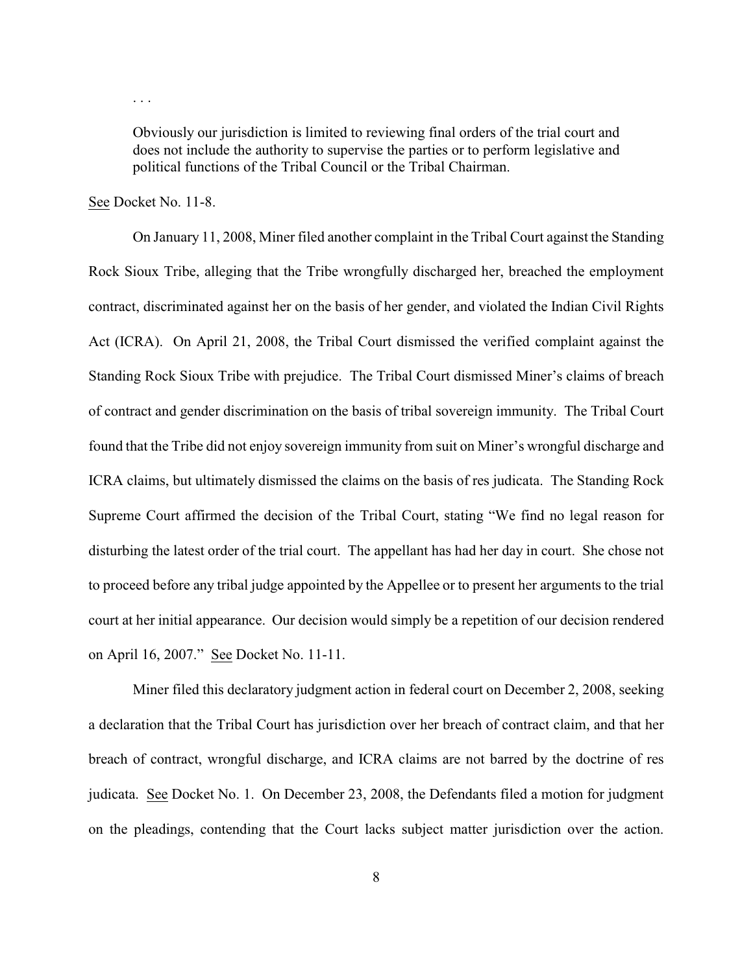Obviously our jurisdiction is limited to reviewing final orders of the trial court and does not include the authority to supervise the parties or to perform legislative and political functions of the Tribal Council or the Tribal Chairman.

See Docket No. 11-8.

. . .

On January 11, 2008, Miner filed another complaint in the Tribal Court against the Standing Rock Sioux Tribe, alleging that the Tribe wrongfully discharged her, breached the employment contract, discriminated against her on the basis of her gender, and violated the Indian Civil Rights Act (ICRA). On April 21, 2008, the Tribal Court dismissed the verified complaint against the Standing Rock Sioux Tribe with prejudice. The Tribal Court dismissed Miner's claims of breach of contract and gender discrimination on the basis of tribal sovereign immunity. The Tribal Court found that the Tribe did not enjoy sovereign immunity from suit on Miner's wrongful discharge and ICRA claims, but ultimately dismissed the claims on the basis of res judicata. The Standing Rock Supreme Court affirmed the decision of the Tribal Court, stating "We find no legal reason for disturbing the latest order of the trial court. The appellant has had her day in court. She chose not to proceed before any tribal judge appointed by the Appellee or to present her arguments to the trial court at her initial appearance. Our decision would simply be a repetition of our decision rendered on April 16, 2007." See Docket No. 11-11.

Miner filed this declaratory judgment action in federal court on December 2, 2008, seeking a declaration that the Tribal Court has jurisdiction over her breach of contract claim, and that her breach of contract, wrongful discharge, and ICRA claims are not barred by the doctrine of res judicata. See Docket No. 1. On December 23, 2008, the Defendants filed a motion for judgment on the pleadings, contending that the Court lacks subject matter jurisdiction over the action.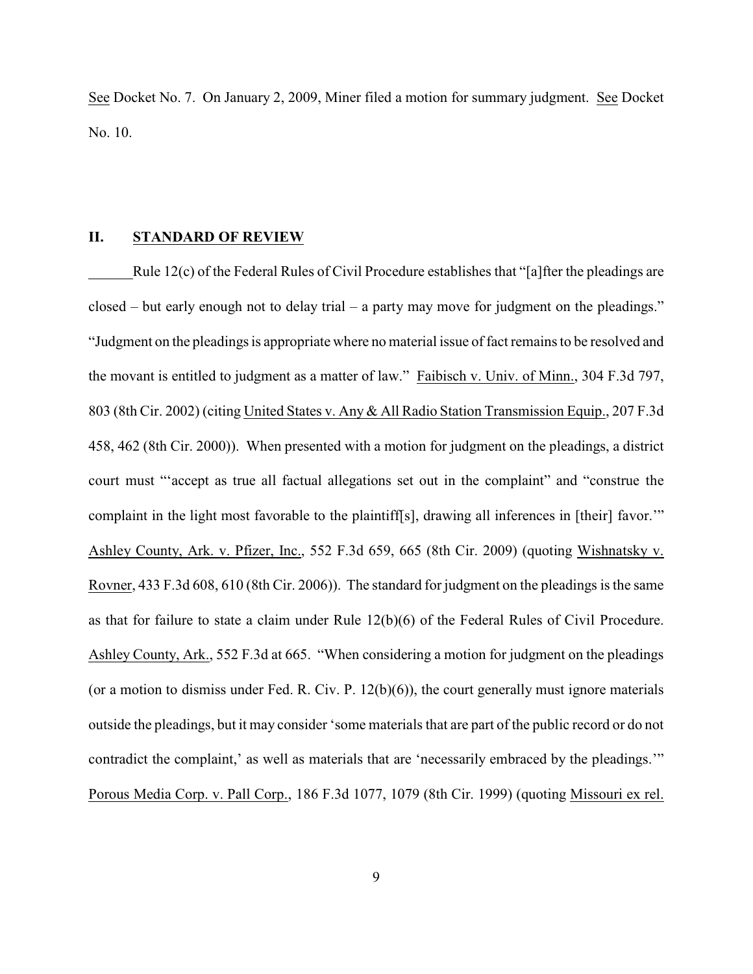See Docket No. 7. On January 2, 2009, Miner filed a motion for summary judgment. See Docket No. 10.

## **II. STANDARD OF REVIEW**

Rule 12(c) of the Federal Rules of Civil Procedure establishes that "[a]fter the pleadings are closed – but early enough not to delay trial – a party may move for judgment on the pleadings." "Judgment on the pleadings is appropriate where no material issue of fact remains to be resolved and the movant is entitled to judgment as a matter of law." Faibisch v. Univ. of Minn., 304 F.3d 797, 803 (8th Cir. 2002) (citing United States v. Any & All Radio Station Transmission Equip., 207 F.3d 458, 462 (8th Cir. 2000)). When presented with a motion for judgment on the pleadings, a district court must "'accept as true all factual allegations set out in the complaint" and "construe the complaint in the light most favorable to the plaintiff[s], drawing all inferences in [their] favor.'" Ashley County, Ark. v. Pfizer, Inc., 552 F.3d 659, 665 (8th Cir. 2009) (quoting Wishnatsky v. Rovner, 433 F.3d 608, 610 (8th Cir. 2006)). The standard for judgment on the pleadings is the same as that for failure to state a claim under Rule 12(b)(6) of the Federal Rules of Civil Procedure. Ashley County, Ark., 552 F.3d at 665. "When considering a motion for judgment on the pleadings (or a motion to dismiss under Fed. R. Civ. P. 12(b)(6)), the court generally must ignore materials outside the pleadings, but it may consider 'some materials that are part of the public record or do not contradict the complaint,' as well as materials that are 'necessarily embraced by the pleadings.'" Porous Media Corp. v. Pall Corp., 186 F.3d 1077, 1079 (8th Cir. 1999) (quoting Missouri ex rel.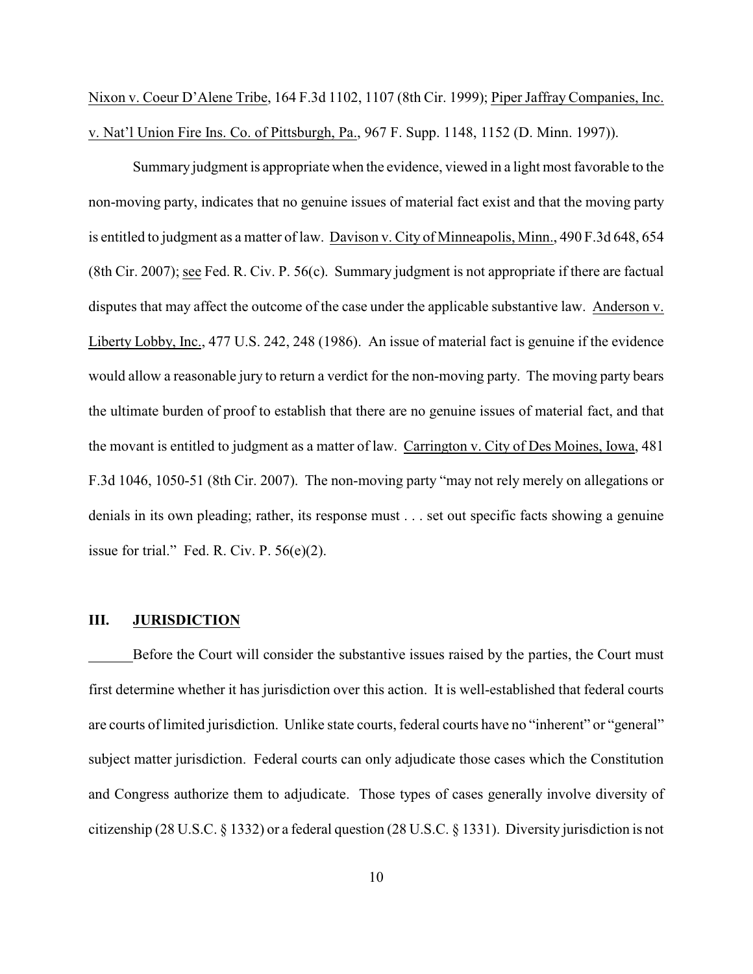Nixon v. Coeur D'Alene Tribe, 164 F.3d 1102, 1107 (8th Cir. 1999); Piper Jaffray Companies, Inc. v. Nat'l Union Fire Ins. Co. of Pittsburgh, Pa., 967 F. Supp. 1148, 1152 (D. Minn. 1997)).

Summary judgment is appropriate when the evidence, viewed in a light most favorable to the non-moving party, indicates that no genuine issues of material fact exist and that the moving party is entitled to judgment as a matter of law. Davison v. City of Minneapolis, Minn., 490 F.3d 648, 654 (8th Cir. 2007); see Fed. R. Civ. P. 56(c). Summary judgment is not appropriate if there are factual disputes that may affect the outcome of the case under the applicable substantive law. Anderson v. Liberty Lobby, Inc., 477 U.S. 242, 248 (1986). An issue of material fact is genuine if the evidence would allow a reasonable jury to return a verdict for the non-moving party. The moving party bears the ultimate burden of proof to establish that there are no genuine issues of material fact, and that the movant is entitled to judgment as a matter of law. Carrington v. City of Des Moines, Iowa, 481 F.3d 1046, 1050-51 (8th Cir. 2007). The non-moving party "may not rely merely on allegations or denials in its own pleading; rather, its response must . . . set out specific facts showing a genuine issue for trial." Fed. R. Civ. P. 56(e)(2).

#### **III. JURISDICTION**

Before the Court will consider the substantive issues raised by the parties, the Court must first determine whether it has jurisdiction over this action. It is well-established that federal courts are courts of limited jurisdiction. Unlike state courts, federal courts have no "inherent" or "general" subject matter jurisdiction. Federal courts can only adjudicate those cases which the Constitution and Congress authorize them to adjudicate. Those types of cases generally involve diversity of citizenship (28 U.S.C. § 1332) or a federal question (28 U.S.C. § 1331). Diversity jurisdiction is not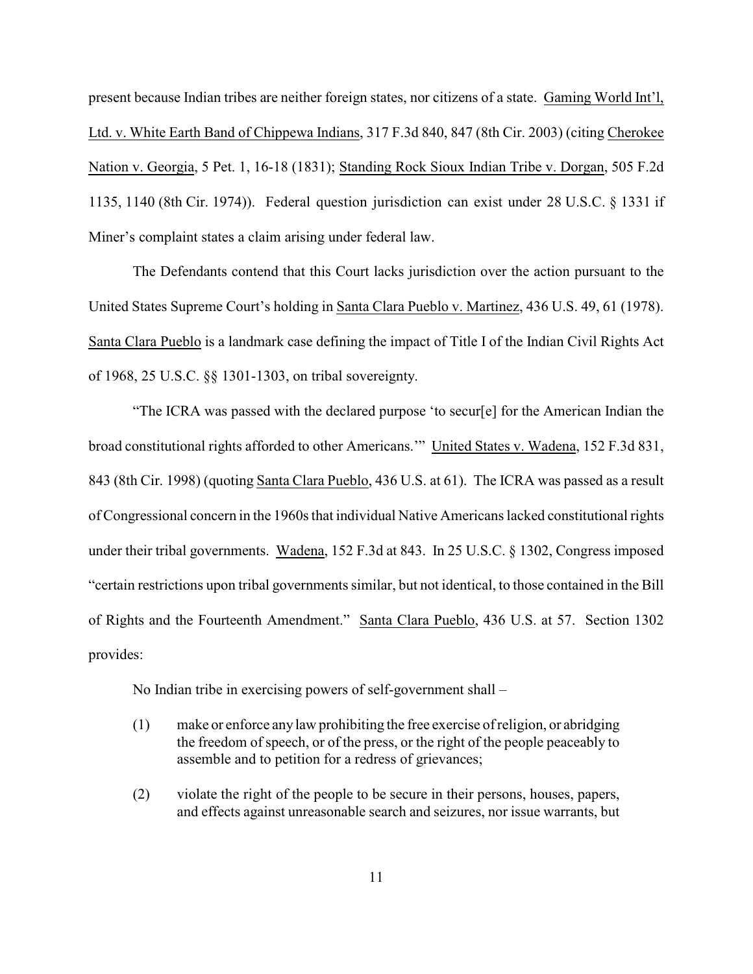present because Indian tribes are neither foreign states, nor citizens of a state. Gaming World Int'l, Ltd. v. White Earth Band of Chippewa Indians, 317 F.3d 840, 847 (8th Cir. 2003) (citing Cherokee Nation v. Georgia, 5 Pet. 1, 16-18 (1831); Standing Rock Sioux Indian Tribe v. Dorgan, 505 F.2d 1135, 1140 (8th Cir. 1974)). Federal question jurisdiction can exist under 28 U.S.C. § 1331 if Miner's complaint states a claim arising under federal law.

The Defendants contend that this Court lacks jurisdiction over the action pursuant to the United States Supreme Court's holding in Santa Clara Pueblo v. Martinez, 436 U.S. 49, 61 (1978). Santa Clara Pueblo is a landmark case defining the impact of Title I of the Indian Civil Rights Act of 1968, 25 U.S.C. §§ 1301-1303, on tribal sovereignty.

"The ICRA was passed with the declared purpose 'to secur[e] for the American Indian the broad constitutional rights afforded to other Americans.'" United States v. Wadena, 152 F.3d 831, 843 (8th Cir. 1998) (quoting Santa Clara Pueblo, 436 U.S. at 61). The ICRA was passed as a result of Congressional concern in the 1960s that individual Native Americanslacked constitutional rights under their tribal governments. Wadena, 152 F.3d at 843. In 25 U.S.C. § 1302, Congress imposed "certain restrictions upon tribal governments similar, but not identical, to those contained in the Bill of Rights and the Fourteenth Amendment." Santa Clara Pueblo, 436 U.S. at 57. Section 1302 provides:

No Indian tribe in exercising powers of self-government shall –

- (1) make or enforce any law prohibiting the free exercise of religion, or abridging the freedom of speech, or of the press, or the right of the people peaceably to assemble and to petition for a redress of grievances;
- (2) violate the right of the people to be secure in their persons, houses, papers, and effects against unreasonable search and seizures, nor issue warrants, but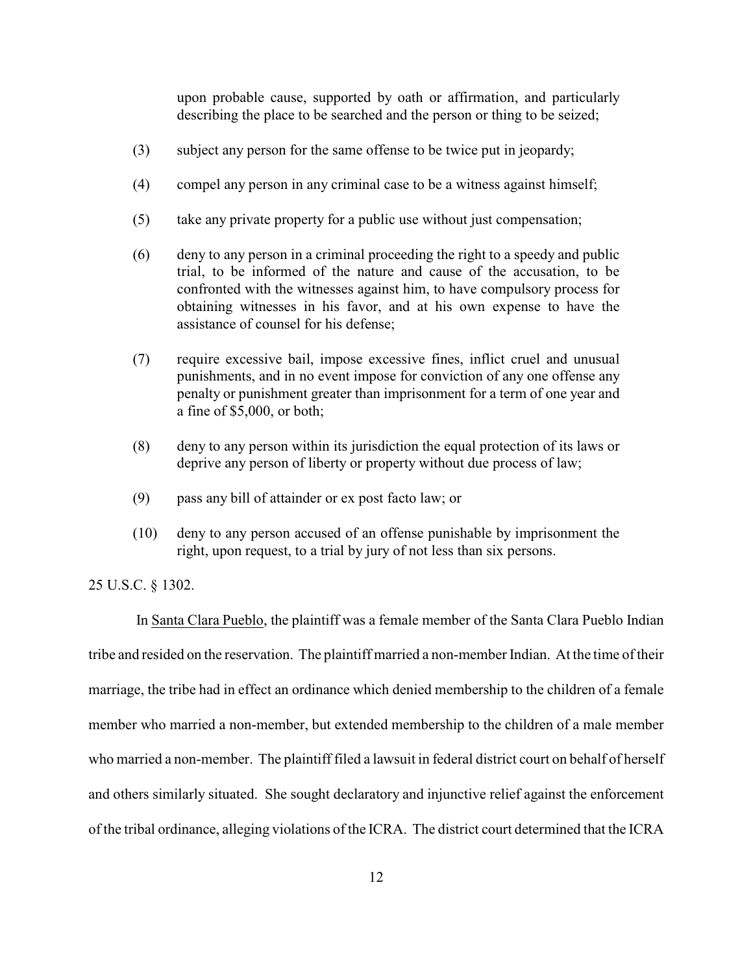upon probable cause, supported by oath or affirmation, and particularly describing the place to be searched and the person or thing to be seized;

- (3) subject any person for the same offense to be twice put in jeopardy;
- (4) compel any person in any criminal case to be a witness against himself;
- (5) take any private property for a public use without just compensation;
- (6) deny to any person in a criminal proceeding the right to a speedy and public trial, to be informed of the nature and cause of the accusation, to be confronted with the witnesses against him, to have compulsory process for obtaining witnesses in his favor, and at his own expense to have the assistance of counsel for his defense;
- (7) require excessive bail, impose excessive fines, inflict cruel and unusual punishments, and in no event impose for conviction of any one offense any penalty or punishment greater than imprisonment for a term of one year and a fine of \$5,000, or both;
- (8) deny to any person within its jurisdiction the equal protection of its laws or deprive any person of liberty or property without due process of law;
- (9) pass any bill of attainder or ex post facto law; or
- (10) deny to any person accused of an offense punishable by imprisonment the right, upon request, to a trial by jury of not less than six persons.

25 U.S.C. § 1302.

 In Santa Clara Pueblo, the plaintiff was a female member of the Santa Clara Pueblo Indian tribe and resided on the reservation. The plaintiff married a non-member Indian. At the time of their marriage, the tribe had in effect an ordinance which denied membership to the children of a female member who married a non-member, but extended membership to the children of a male member who married a non-member. The plaintiff filed a lawsuit in federal district court on behalf of herself and others similarly situated. She sought declaratory and injunctive relief against the enforcement of the tribal ordinance, alleging violations of the ICRA. The district court determined that the ICRA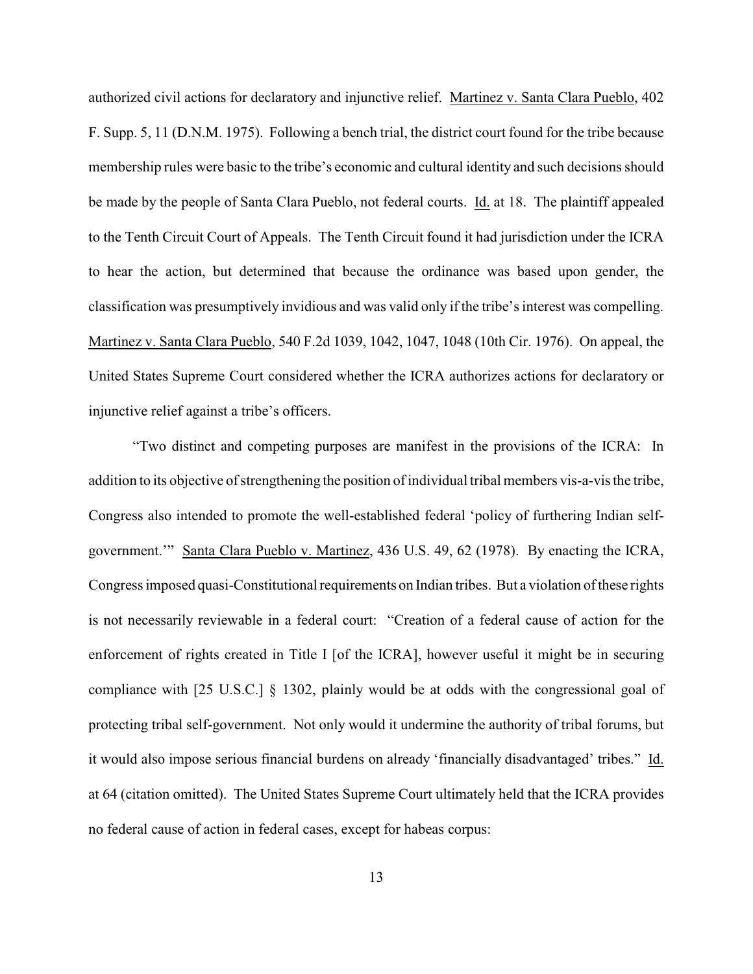authorized civil actions for declaratory and injunctive relief. Martinez v. Santa Clara Pueblo, 402 F. Supp. 5, 11 (D.N.M. 1975). Following a bench trial, the district court found for the tribe because membership rules were basic to the tribe's economic and cultural identity and such decisions should be made by the people of Santa Clara Pueblo, not federal courts. *Id.* at 18. The plaintiff appealed to the Tenth Circuit Court of Appeals. The Tenth Circuit found it had jurisdiction under the ICRA to hear the action, but determined that because the ordinance was based upon gender, the classification was presumptively invidious and was valid only if the tribe's interest was compelling. Martinez v. Santa Clara Pueblo, 540 F.2d 1039, 1042, 1047, 1048 (10th Cir. 1976). On appeal, the United States Supreme Court considered whether the ICRA authorizes actions for declaratory or injunctive relief against a tribe's officers.

"Two distinct and competing purposes are manifest in the provisions of the ICRA: In addition to its objective of strengthening the position of individual tribal members vis-a-vis the tribe, Congress also intended to promote the well-established federal 'policy of furthering Indian selfgovernment.'" Santa Clara Pueblo v. Martinez, 436 U.S. 49, 62 (1978). By enacting the ICRA, Congress imposed quasi-Constitutional requirements on Indian tribes. But a violation of these rights is not necessarily reviewable in a federal court: "Creation of a federal cause of action for the enforcement of rights created in Title I [of the ICRA], however useful it might be in securing compliance with [25 U.S.C.] § 1302, plainly would be at odds with the congressional goal of protecting tribal self-government. Not only would it undermine the authority of tribal forums, but it would also impose serious financial burdens on already 'financially disadvantaged' tribes." Id. at 64 (citation omitted). The United States Supreme Court ultimately held that the ICRA provides no federal cause of action in federal cases, except for habeas corpus: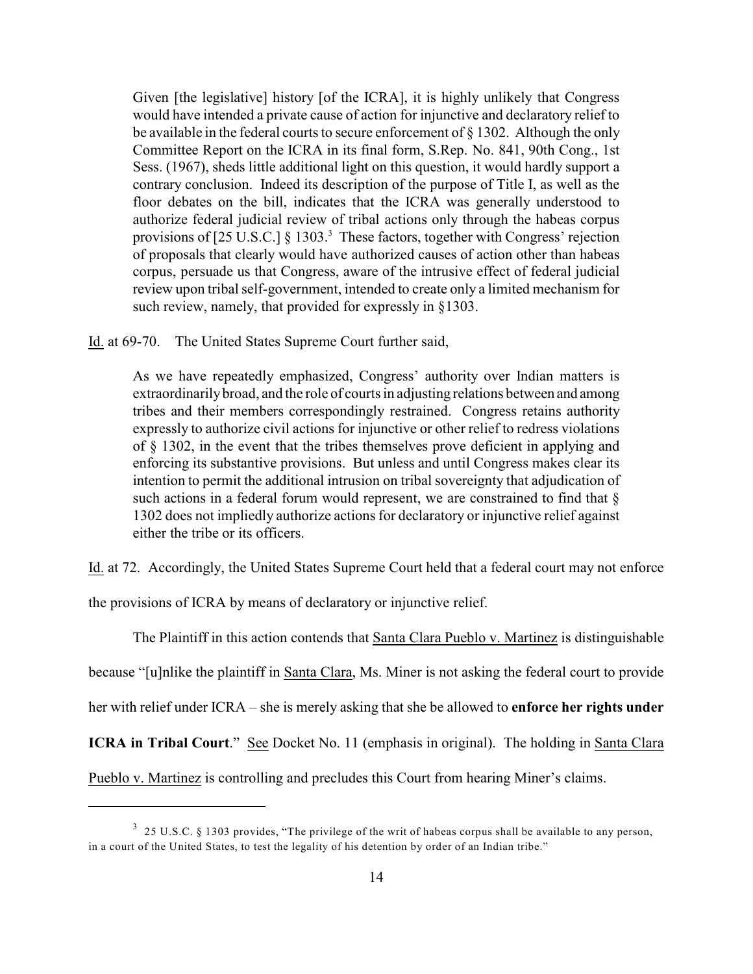Given [the legislative] history [of the ICRA], it is highly unlikely that Congress would have intended a private cause of action for injunctive and declaratory relief to be available in the federal courts to secure enforcement of § 1302. Although the only Committee Report on the ICRA in its final form, S.Rep. No. 841, 90th Cong., 1st Sess. (1967), sheds little additional light on this question, it would hardly support a contrary conclusion. Indeed its description of the purpose of Title I, as well as the floor debates on the bill, indicates that the ICRA was generally understood to authorize federal judicial review of tribal actions only through the habeas corpus provisions of  $[25 \text{ U.S.C.}]$  § 1303.<sup>3</sup> These factors, together with Congress' rejection of proposals that clearly would have authorized causes of action other than habeas corpus, persuade us that Congress, aware of the intrusive effect of federal judicial review upon tribal self-government, intended to create only a limited mechanism for such review, namely, that provided for expressly in §1303.

Id. at 69-70. The United States Supreme Court further said,

As we have repeatedly emphasized, Congress' authority over Indian matters is extraordinarily broad, and the role of courts in adjusting relations between and among tribes and their members correspondingly restrained. Congress retains authority expressly to authorize civil actions for injunctive or other relief to redress violations of § 1302, in the event that the tribes themselves prove deficient in applying and enforcing its substantive provisions. But unless and until Congress makes clear its intention to permit the additional intrusion on tribal sovereignty that adjudication of such actions in a federal forum would represent, we are constrained to find that  $\S$ 1302 does not impliedly authorize actionsfor declaratory or injunctive relief against either the tribe or its officers.

Id. at 72. Accordingly, the United States Supreme Court held that a federal court may not enforce

the provisions of ICRA by means of declaratory or injunctive relief.

The Plaintiff in this action contends that Santa Clara Pueblo v. Martinez is distinguishable because "[u]nlike the plaintiff in Santa Clara, Ms. Miner is not asking the federal court to provide her with relief under ICRA – she is merely asking that she be allowed to **enforce her rights under ICRA in Tribal Court**." See Docket No. 11 (emphasis in original). The holding in Santa Clara Pueblo v. Martinez is controlling and precludes this Court from hearing Miner's claims.

 $3$  25 U.S.C. § 1303 provides, "The privilege of the writ of habeas corpus shall be available to any person, in a court of the United States, to test the legality of his detention by order of an Indian tribe."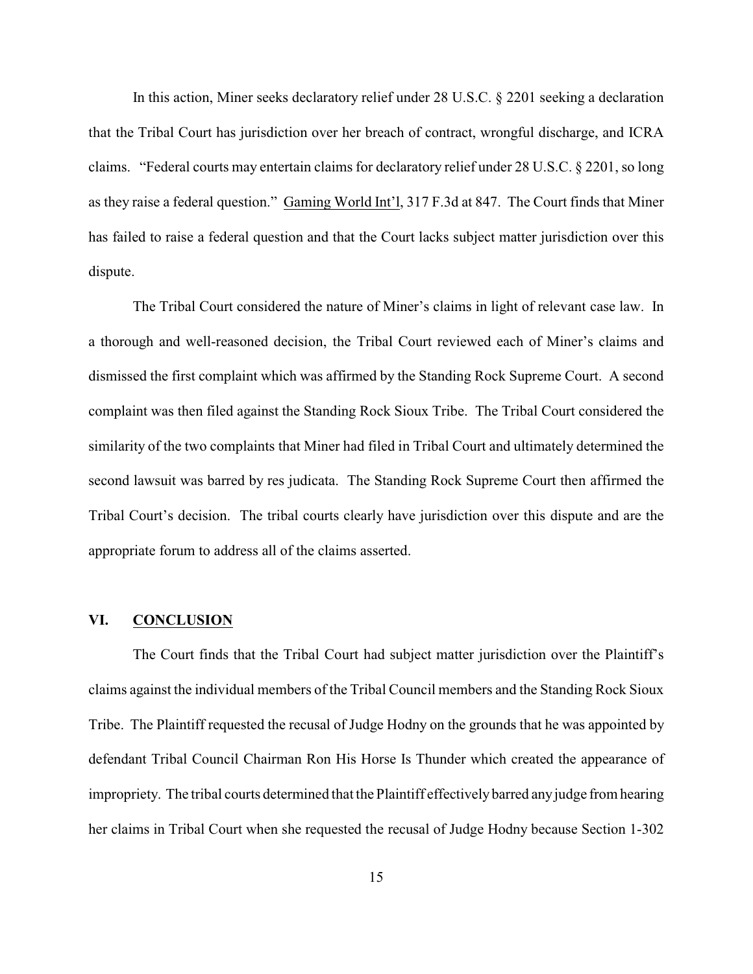In this action, Miner seeks declaratory relief under 28 U.S.C. § 2201 seeking a declaration that the Tribal Court has jurisdiction over her breach of contract, wrongful discharge, and ICRA claims. "Federal courts may entertain claims for declaratory relief under 28 U.S.C. § 2201, so long as they raise a federal question." Gaming World Int'l, 317 F.3d at 847. The Court finds that Miner has failed to raise a federal question and that the Court lacks subject matter jurisdiction over this dispute.

The Tribal Court considered the nature of Miner's claims in light of relevant case law. In a thorough and well-reasoned decision, the Tribal Court reviewed each of Miner's claims and dismissed the first complaint which was affirmed by the Standing Rock Supreme Court. A second complaint was then filed against the Standing Rock Sioux Tribe. The Tribal Court considered the similarity of the two complaints that Miner had filed in Tribal Court and ultimately determined the second lawsuit was barred by res judicata. The Standing Rock Supreme Court then affirmed the Tribal Court's decision. The tribal courts clearly have jurisdiction over this dispute and are the appropriate forum to address all of the claims asserted.

#### **VI. CONCLUSION**

The Court finds that the Tribal Court had subject matter jurisdiction over the Plaintiff's claims against the individual members of the Tribal Council members and the Standing Rock Sioux Tribe. The Plaintiff requested the recusal of Judge Hodny on the grounds that he was appointed by defendant Tribal Council Chairman Ron His Horse Is Thunder which created the appearance of impropriety. The tribal courts determined that the Plaintiff effectively barred any judge from hearing her claims in Tribal Court when she requested the recusal of Judge Hodny because Section 1-302